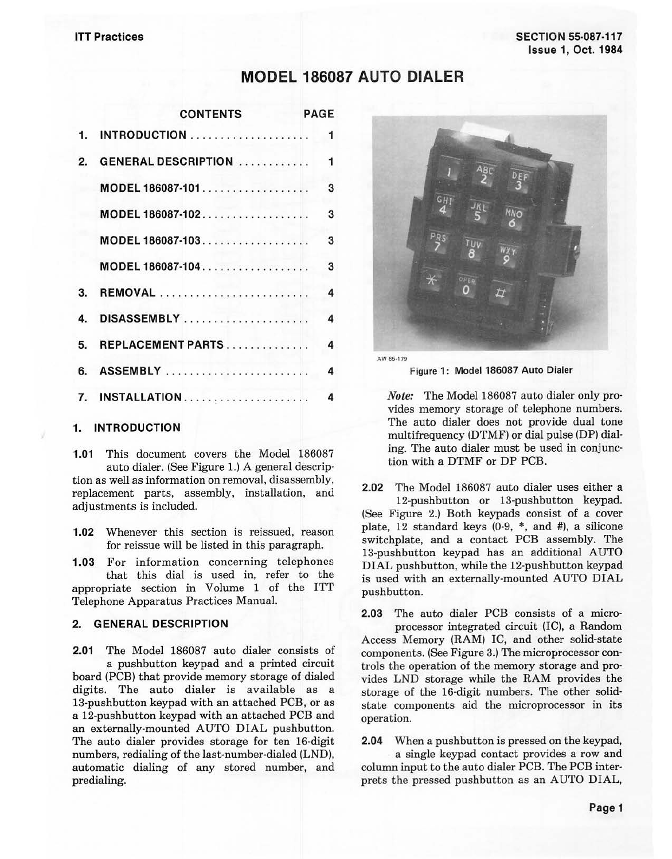# **MODEL 186087 AUTO DIALER**

|    | <b>CONTENTS</b>            | <b>PAGE</b>  |
|----|----------------------------|--------------|
| 1. |                            | 1            |
| 2. | <b>GENERAL DESCRIPTION</b> | $\mathbf{1}$ |
|    | MODEL 186087-101           | 3            |
|    | MODEL 186087-102           | 3            |
|    | MODEL 186087-103           | 3            |
|    | MODEL 186087-104           | 3            |
| 3. | REMOVAL                    | 4            |
| 4. | DISASSEMBLY                | 4            |
| 5. | REPLACEMENT PARTS          | 4            |
| 6. | <b>ASSEMBLY</b>            | 4            |
| 7. | INSTALLATION               | 4            |
|    |                            |              |

## **1. INTRODUCTION**

**1.01** This document covers the Model 186087 auto dialer. (See Figure 1.) A general description as well as information on removal, disassembly, replacement parts, assembly, installation, and adjustments is included.

- **1.02** Whenever this section is reissued, reason for reissue will be listed in this paragraph.
- **1.03** For information concerning telephones that this dial is used in, refer to the appropriate section in Volume 1 of the ITT

Telephone Apparatus Practices Manual.

#### **2. GENERAL DESCRIPTION**

**2.01** The Model 186087 auto dialer consists of a pushbutton keypad and a printed circuit board (PCB) that provide memory storage of dialed digits. The auto dialer is available as a 13-pushbutton keypad with an attached PCB, or as a 12-pushbutton keypad with an attached PCB and an externally-mounted AUTO DIAL pushbutton. The auto dialer provides storage for ten 16-digit numbers, redialing of the last-number-dialed (LND), automatic dialing of any stored number, and predialing.



**AW 85-179** 

Figure **1:** Model 186087 Auto Dialer

*Note:* The Model 186087 auto dialer only provides memory storage of telephone numbers. The auto dialer does not provide dual tone multifrequency (DTMF) or dial pulse (DP) dialing. The auto dialer must be used in conjunction with a DTMF or DP PCB.

**2.02** The Model 186087 auto dialer uses either a 12-pushbutton or 13-pushbutton keypad. (See Figure 2.) Both keypads consist of a cover plate, 12 standard keys (0-9, \*, and #), a silicone switchplate, and a contact PCB assembly. The 13-pushbutton keypad has an additional AUTO DIAL pushbutton, while the 12-pushbutton keypad is used with an externally-mounted AUTO DIAL pushbutton.

**2.03** The auto dialer PCB consists of a micro· processor integrated circuit (IC), a Random Access Memory (RAM) IC, and other solid-state components. (See Figure 3.) The microprocessor controls the operation of the memory storage and provides LND storage while the RAM provides the storage of the 16-digit numbers. The other solidstate components aid the microprocessor in its operation.

**2.04** When a pushbutton is pressed on the keypad,

a single keypad contact provides a row and column input to the auto dialer PCB. The PCB interprets the pressed pushbutton as an AUTO DIAL,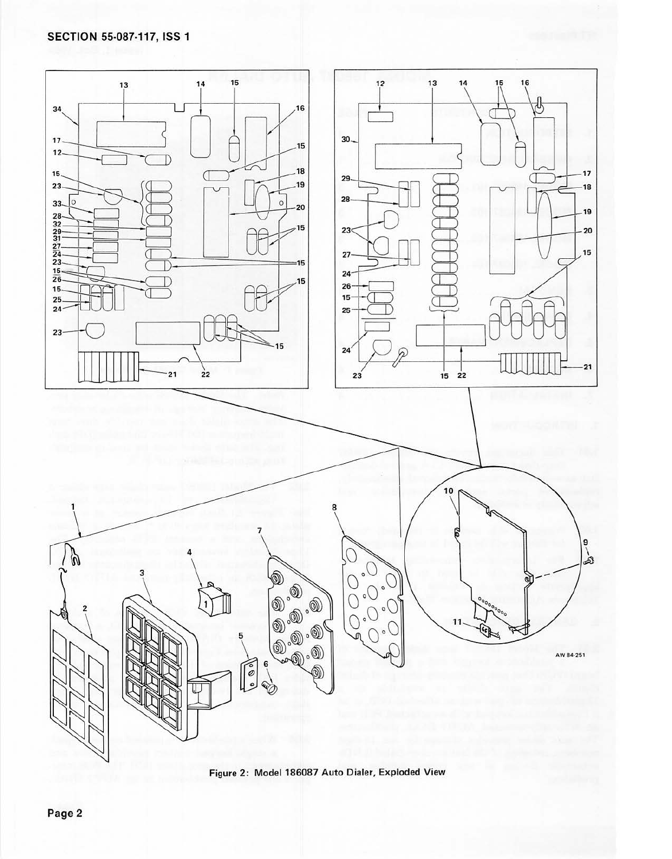

Figure 2: Model 186087 Auto Dialer, Exploded View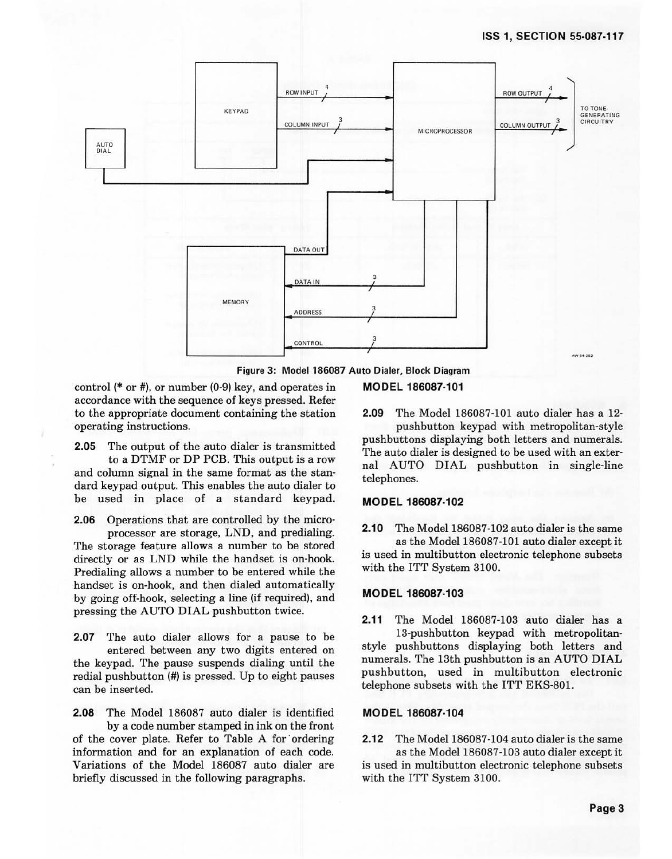#### **155 1, SECTION 55-087-117**



**Figure 3: Model 186087 Auto Dialer, Block Diagram** 

control(\* or#), or number (0·9) key, and operates in **MODEL 186087-101**  accordance with the sequence of keys pressed. Refer to the appropriate document containing the station operating instructions.

**2.05** The output of the auto dialer is transmitted to a DTMF or DP PCB. This output is a row and column signal in the same format as the standard keypad output. This enables the auto dialer to be used in place of a standard keypad.

**2.06** Operations that are controlled by the microprocessor are storage, LND, and predialing.

The storage feature allows a number to be stored directly or as LND while the handset is on-hook. Predialing allows a number to be entered while the handset is on-hook, and then dialed automatically by going off-hook, selecting a line (if required), and pressing the AUTO DIAL pushbutton twice.

**2.07** The auto dialer allows for a pause to be entered between any two digits entered on the keypad. The pause suspends dialing until the redial pushbutton(#) is pressed. Up to eight pauses can be inserted.

**2.08** The Model 186087 auto dialer is identified by a code number stamped in ink on the front of the cover plate. Refer to Table A for ordering information and for an explanation of each code. Variations of the Model 186087 auto dialer are briefly discussed in the following paragraphs.

**2.09** The Model 186087-101 auto dialer has a 12 pushbutton keypad with metropolitan-style pushbuttons displaying both letters and numerals. The auto dialer is designed to be used with an external AUTO **DIAL** pushbutton in single-line telephones.

#### **MODEL 186087-102**

**2.10** The Model 186087-102 auto dialer is the same as the Model 186087-101 auto dialer except it is used in multibutton electronic telephone subsets with the ITT System 3100.

#### **MODEL 186087-103**

**2.11** The Model 186087-103 auto dialer has a 13-pushbutton keypad with metropolitanstyle pushbuttons displaying both letters and numerals. The 13th pushbutton is an AUTO DIAL pushbutton, used in multibutton electronic telephone subsets with the ITT EKS-801.

#### **MODEL 186087-104**

**2.12** The Model 186087-104 auto dialer is the same

as the Model 186087-103 auto dialer except it is used in multibutton electronic telephone subsets with the ITT System 3100.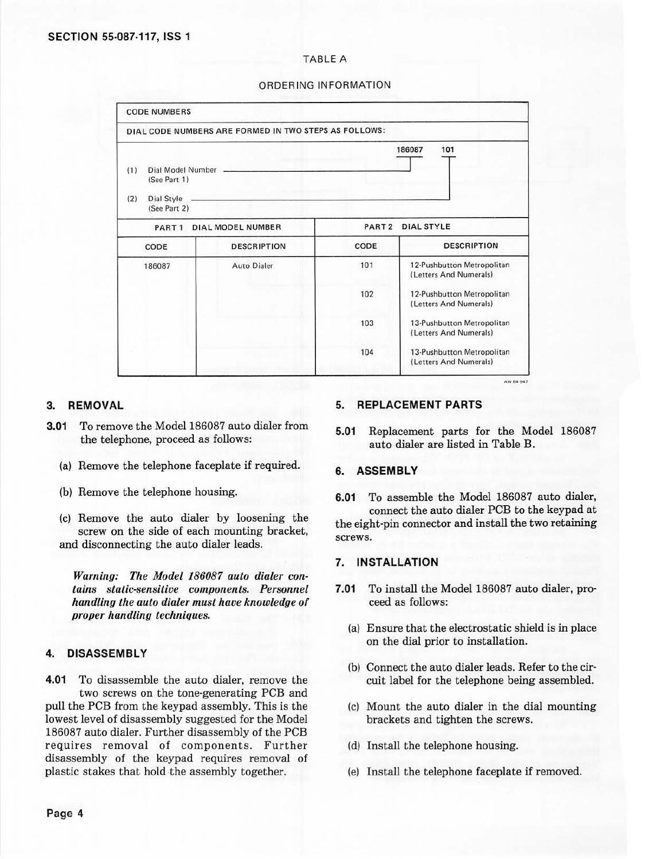#### TABLE A

#### ORDERING INFORMATION

| <b>CODE NUMBERS</b>      |                                                       |                   |                                                      |
|--------------------------|-------------------------------------------------------|-------------------|------------------------------------------------------|
|                          | DIAL CODE NUMBERS ARE FORMED IN TWO STEPS AS FOLLOWS: |                   |                                                      |
|                          |                                                       |                   | 101<br>186087                                        |
| Dial Model Number<br>(1) |                                                       |                   |                                                      |
| (See Part 1)             |                                                       |                   |                                                      |
| Dial Style<br>(2)        |                                                       |                   |                                                      |
| (See Part 2)             |                                                       |                   |                                                      |
| PART <sub>1</sub>        | <b>DIAL MODEL NUMBER</b>                              | PART <sub>2</sub> | <b>DIAL STYLE</b>                                    |
| CODE                     | <b>DESCRIPTION</b>                                    | CODE              | <b>DESCRIPTION</b>                                   |
| 186087                   | <b>Auto Dialer</b>                                    | 101               | 12-Pushbutton Metropolitan<br>(Letters And Numerals) |
|                          |                                                       | 102               | 12-Pushbutton Metropolitan<br>(Letters And Numerals) |
|                          |                                                       | 103               | 13-Pushbutton Metropolitan<br>(Letters And Numerals) |
|                          |                                                       | 104               | 13-Pushbutton Metropolitan                           |

#### **3. REMOVAL**

- **3.01** To remove the Model 186087 auto dialer from the telephone, proceed as follows:
	- (a) Remove the telephone faceplate if required.
	- (b) Remove the telephone housing.
	- (c) Remove the auto dialer by loosening the screw on the side of each mounting bracket, and disconnecting the auto dialer leads.

*Warning: The Model 186087 auto dialer contains static-sensitive components. Personnel handling the auto dialer must have knowledge of proper handling techniques.* 

### **4. DISASSEMBLY**

**4.01** To disassemble the auto dialer, remove the two screws on the tone-generating PCB and pull the PCB from the keypad assembly. This is the lowest level of disassembly suggested for the\_ Model 186087 auto dialer. Further disassembly of the PCB requires removal of components. Further disassembly of the keypad requires removal of plastic stakes that hold-the assembly together.

#### **5. REPLACEMENT PARTS**

**5.01** Replacement parts for the Model 186087 auto dialer are listed in Table B.

#### **6. ASSEMBLY**

**6.01** To assemble the Model 186087 auto dialer, connect the auto dialer PCB to the keypad at the eight-pin connector and install the two retaining screws.

#### **7. INSTALLATION**

- **7.01** To install the Model 186087 auto dialer, proceed as follows:
	- (a) Ensure that the electrostatic shield is in place on the dial prior to installation.
	- (b) Connect the auto dialer leads. Refer to the cir· cuit label for the telephone being assembled.
	- (c) Mount the auto dialer in the dial mounting brackets and tighten the screws.
	- (d) Install the telephone housing.
	- (e) Install the telephone faceplate if removed.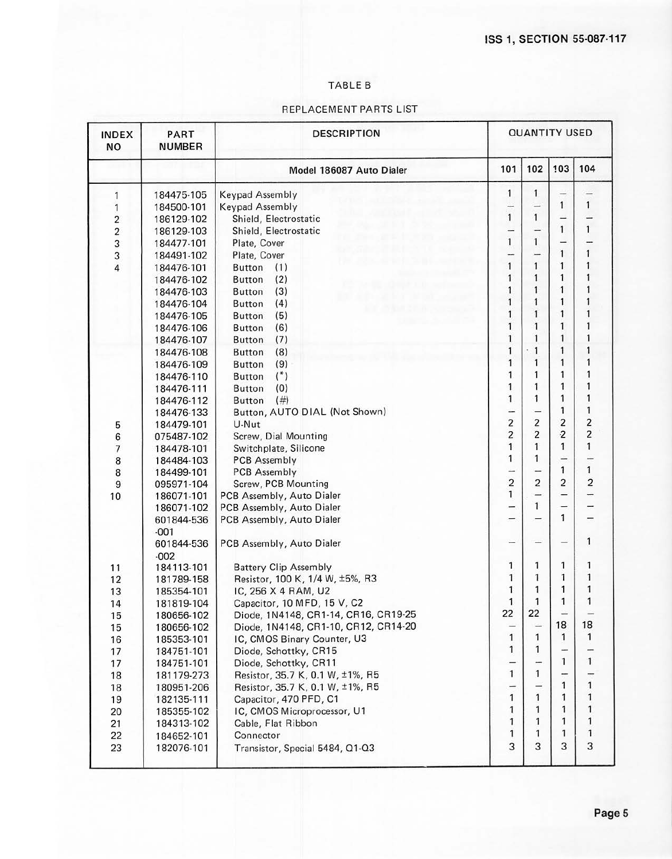## TABLE B

# REPLACEMENT PARTS LIST

| <b>INDEX</b><br><b>NO</b> | PART<br><b>NUMBER</b> | <b>DESCRIPTION</b>                   |                         | <b>QUANTITY USED</b>     |                          |                |  |
|---------------------------|-----------------------|--------------------------------------|-------------------------|--------------------------|--------------------------|----------------|--|
|                           |                       | Model 186087 Auto Dialer             | 101                     | 102                      | 103                      | 104            |  |
| 1                         | 184475-105            | Keypad Assembly                      | 1                       | 1                        |                          |                |  |
| $\mathbf{1}$              | 184500-101            | <b>Keypad Assembly</b>               | -                       |                          | $\mathbf{1}$             | 1              |  |
| $\overline{\mathbf{c}}$   | 186129-102            | Shield, Electrostatic                | 1                       | $\mathbf{1}$             | $\overline{\phantom{0}}$ |                |  |
| $\overline{\mathbf{c}}$   | 186129-103            | Shield, Electrostatic                | -                       |                          | $\mathbf{1}$             | 1              |  |
| 3                         | 184477-101            | Plate, Cover                         | $\mathbf{1}$            | $\mathbf{1}$             | -                        |                |  |
| 3                         | 184491-102            | Plate, Cover                         | -                       | $\leftarrow$             | $\mathbf{1}$             | 1              |  |
| $\overline{4}$            | 184476-101            | Button<br>(1)                        | $\mathbf{1}$            | 1                        | $\mathbf{1}$             | 1              |  |
|                           | 184476-102            | (2)<br><b>Button</b>                 | 1                       | 1                        | 1                        | 1              |  |
|                           | 184476-103            | (3)<br><b>Button</b>                 | 1                       | 1                        | 1                        | 1              |  |
|                           | 184476-104            | (4)<br><b>Button</b>                 | 1                       | 1                        | 1                        | 1              |  |
|                           | 184476-105            | (5)<br><b>Button</b>                 | 1                       | 1                        | $\mathbf{1}$             | 1              |  |
|                           | 184476-106            | (6)<br><b>Button</b>                 | $\mathbf{1}$            | $\overline{1}$           | $\mathbf{1}$             | 1              |  |
|                           | 184476-107            | (7)<br><b>Button</b>                 | 1                       | 1                        | 1                        | 1              |  |
|                           | 184476-108            | (8)<br><b>Button</b>                 | 1                       | 1                        | 1                        | 1              |  |
|                           | 184476-109            | (9)<br><b>Button</b>                 | 1                       | 1                        | 1                        | 1              |  |
|                           | 184476-110            | $(*)$<br><b>Button</b>               | 1                       | 1                        | 1                        |                |  |
|                           | 184476-111            | (0)<br><b>Button</b>                 | 1                       | 1                        | 1                        | 1              |  |
|                           | 184476-112            | (# )<br><b>Button</b>                | $\mathbf{1}$            | $\mathbf{1}$             | 1                        | 1              |  |
|                           | 184476-133            | Button, AUTO DIAL (Not Shown)        | -                       |                          | 1                        | 1              |  |
| 5                         | 184479-101            | U-Nut                                | $\overline{\mathbf{c}}$ | $\overline{\mathbf{c}}$  | $\overline{\mathbf{c}}$  | 2              |  |
| 6                         | 075487-102            | Screw, Dial Mounting                 | $\overline{c}$          | $\overline{2}$           | $\ddot{\mathbf{2}}$      | $\overline{c}$ |  |
| $\overline{\phantom{a}}$  | 184478-101            | Switchplate, Silicone                | $\mathbf{1}$            | $\mathbf{1}$             | 1                        | 1              |  |
| 8                         | 184484-103            | PCB Assembly                         | 1                       | 1                        | -                        |                |  |
| 8                         | 184499-101            | <b>PCB Assembly</b>                  | -                       |                          | 1                        | $\mathbf{1}$   |  |
| $\overline{9}$            | 095971-104            | Screw, PCB Mounting                  | $\overline{2}$          | $\overline{2}$           | 2                        | $\overline{c}$ |  |
| 10                        | 186071-101            | PCB Assembly, Auto Dialer            | 1                       | -                        | -                        |                |  |
|                           | 186071-102            | PCB Assembly, Auto Dialer            | -                       | $\mathbf{1}$             |                          |                |  |
|                           | 601844-536            | PCB Assembly, Auto Dialer            | -                       |                          | $\mathbf{1}$             | $\equiv$       |  |
|                           | $-001$                |                                      |                         |                          |                          |                |  |
|                           | 601844-536            | PCB Assembly, Auto Dialer            | -                       |                          |                          | 1              |  |
|                           | $-002$                |                                      |                         |                          |                          |                |  |
| 11                        | 184113-101            | <b>Battery Clip Assembly</b>         | 1                       | 1                        | 1                        | 1              |  |
| 12                        | 181789-158            | Resistor, 100 K, 1/4 W, ±5%, R3      | 1                       | $\mathbf{1}$             | 1                        | 1              |  |
| 13                        | 185354-101            | IC, 256 X 4 RAM, U2                  | 1                       | 1                        | 1                        | 1              |  |
| 14                        | 181819-104            | Capacitor, 10 MFD, 15 V, C2          | 1                       | $\mathbf{1}$             | 1                        | 1              |  |
| 15                        | 180656-102            | Diode, 1N4148, CR1-14, CR16, CR19-25 | 22                      | 22                       |                          |                |  |
| 15                        | 180656-102            | Diode, 1N4148, CR1-10, CR12, CR14-20 | -                       | $\overline{\phantom{0}}$ | 18                       | 18             |  |
| 16                        | 185353-101            | IC, CMOS Binary Counter, U3          | $\mathbf{1}$            | 1                        | 1                        | 1              |  |
| 17                        | 184751-101            | Diode, Schottky, CR15                | 1                       | 1                        |                          |                |  |
| 17                        | 184751-101            | Diode, Schottky, CR11                | $\rightarrow$           |                          | 1                        | 1              |  |
| 18                        | 181179-273            | Resistor, 35.7 K, 0.1 W, ±1%, R5     | $\mathbf{1}$            | 1                        |                          |                |  |
| 18                        | 180951-206            | Resistor, 35.7 K, 0.1 W, ±1%, R5     | $\overline{a}$          | -                        | 1                        | 1              |  |
| 19                        | 182135-111            | Capacitor, 470 PFD, C1               | $\mathbf{1}$            | 1                        | 1                        | 1              |  |
| 20                        | 185355-102            | IC, CMOS Microprocessor, U1          | 1                       | 1                        | 1                        | 1              |  |
| 21                        | 184313-102            | Cable, Flat Ribbon                   | 1                       | 1                        | 1                        | 1              |  |
| 22                        | 184652-101            | Connector                            | 1                       | 1                        | 1                        | 1              |  |
| 23                        | 182076-101            | Transistor, Special 5484, Q1-Q3      | 3                       | 3                        | 3                        | 3              |  |
|                           |                       |                                      |                         |                          |                          |                |  |